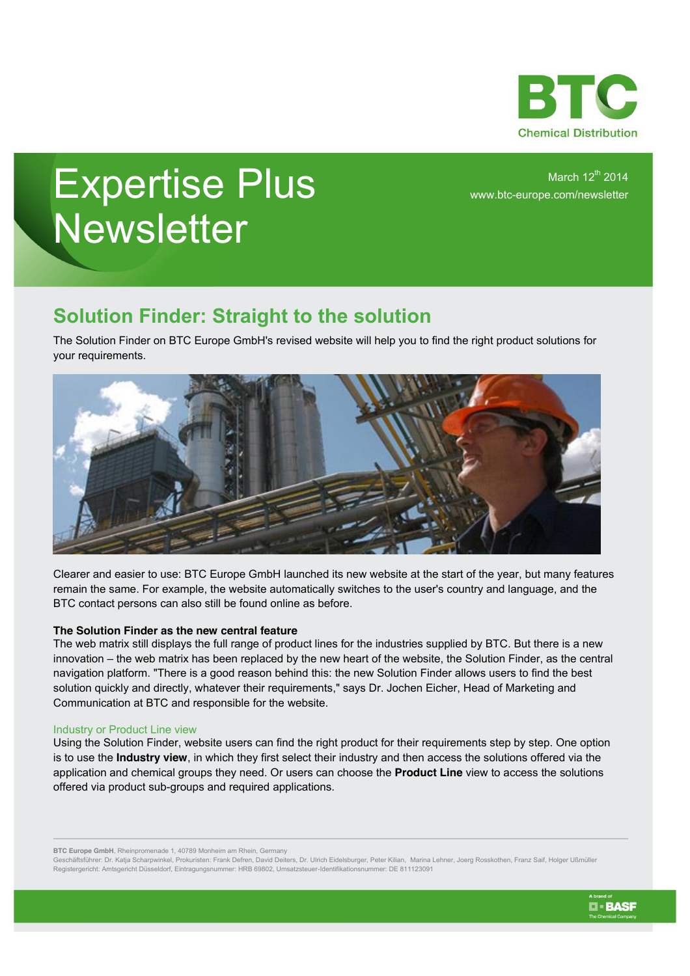

# Expertise Plus **Newsletter**

March  $12^{th}$  2014 www.btc-europe.com/newsletter

## **Solution Finder: Straight to the solution**

The Solution Finder on BTC Europe GmbH's revised website will help you to find the right product solutions for your requirements.



Clearer and easier to use: BTC Europe GmbH launched its new website at the start of the year, but many features remain the same. For example, the website automatically switches to the user's country and language, and the BTC contact persons can also still be found online as before.

### **The Solution Finder as the new central feature**

The web matrix still displays the full range of product lines for the industries supplied by BTC. But there is a new innovation – the web matrix has been replaced by the new heart of the website, the Solution Finder, as the central navigation platform. "There is a good reason behind this: the new Solution Finder allows users to find the best solution quickly and directly, whatever their requirements," says Dr. Jochen Eicher, Head of Marketing and Communication at BTC and responsible for the website.

#### Industry or Product Line view

Using the Solution Finder, website users can find the right product for their requirements step by step. One option is to use the **Industry view**, in which they first select their industry and then access the solutions offered via the application and chemical groups they need. Or users can choose the **Product Line** view to access the solutions offered via product sub-groups and required applications.

**BTC Europe GmbH**, Rheinpromenade 1, 40789 Monheim am Rhein, Germany

Geschäftsführer: Dr. Katja Scharpwinkel, Prokuristen: Frank Defren, David Deiters, Dr. Ulrich Eidelsburger, Peter Kilian, Marina Lehner, Joerg Rosskothen, Franz Saif, Holger Ußmüller Registergericht: Amtsgericht Düsseldorf, Eintragungsnummer: HRB 69802, Umsatzsteuer-Identifikationsnummer: DE 811123091